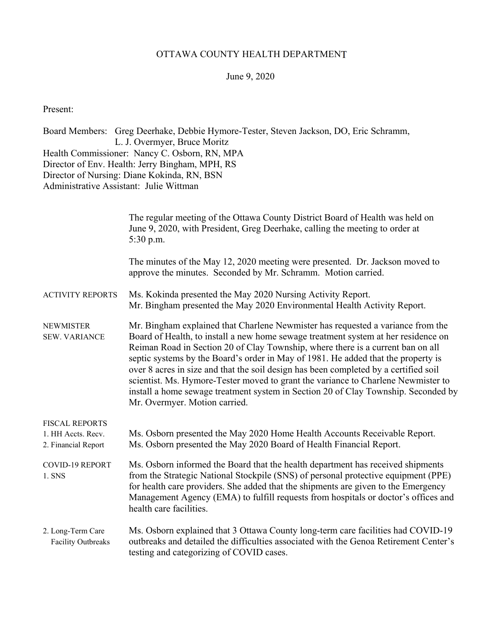## OTTAWA COUNTY HEALTH DEPARTMENT

## June 9, 2020

Present:

Board Members: Greg Deerhake, Debbie Hymore-Tester, Steven Jackson, DO, Eric Schramm, L. J. Overmyer, Bruce Moritz Health Commissioner: Nancy C. Osborn, RN, MPA Director of Env. Health: Jerry Bingham, MPH, RS Director of Nursing: Diane Kokinda, RN, BSN Administrative Assistant: Julie Wittman

|                                                                    | The regular meeting of the Ottawa County District Board of Health was held on<br>June 9, 2020, with President, Greg Deerhake, calling the meeting to order at<br>5:30 p.m.                                                                                                                                                                                                                                                                                                                                                                                                                                                                        |  |  |
|--------------------------------------------------------------------|---------------------------------------------------------------------------------------------------------------------------------------------------------------------------------------------------------------------------------------------------------------------------------------------------------------------------------------------------------------------------------------------------------------------------------------------------------------------------------------------------------------------------------------------------------------------------------------------------------------------------------------------------|--|--|
|                                                                    | The minutes of the May 12, 2020 meeting were presented. Dr. Jackson moved to<br>approve the minutes. Seconded by Mr. Schramm. Motion carried.                                                                                                                                                                                                                                                                                                                                                                                                                                                                                                     |  |  |
| <b>ACTIVITY REPORTS</b>                                            | Ms. Kokinda presented the May 2020 Nursing Activity Report.<br>Mr. Bingham presented the May 2020 Environmental Health Activity Report.                                                                                                                                                                                                                                                                                                                                                                                                                                                                                                           |  |  |
| <b>NEWMISTER</b><br><b>SEW. VARIANCE</b>                           | Mr. Bingham explained that Charlene Newmister has requested a variance from the<br>Board of Health, to install a new home sewage treatment system at her residence on<br>Reiman Road in Section 20 of Clay Township, where there is a current ban on all<br>septic systems by the Board's order in May of 1981. He added that the property is<br>over 8 acres in size and that the soil design has been completed by a certified soil<br>scientist. Ms. Hymore-Tester moved to grant the variance to Charlene Newmister to<br>install a home sewage treatment system in Section 20 of Clay Township. Seconded by<br>Mr. Overmyer. Motion carried. |  |  |
| <b>FISCAL REPORTS</b><br>1. HH Accts. Recv.<br>2. Financial Report | Ms. Osborn presented the May 2020 Home Health Accounts Receivable Report.<br>Ms. Osborn presented the May 2020 Board of Health Financial Report.                                                                                                                                                                                                                                                                                                                                                                                                                                                                                                  |  |  |
| <b>COVID-19 REPORT</b><br>1. SNS                                   | Ms. Osborn informed the Board that the health department has received shipments<br>from the Strategic National Stockpile (SNS) of personal protective equipment (PPE)<br>for health care providers. She added that the shipments are given to the Emergency<br>Management Agency (EMA) to fulfill requests from hospitals or doctor's offices and<br>health care facilities.                                                                                                                                                                                                                                                                      |  |  |
| 2. Long-Term Care<br><b>Facility Outbreaks</b>                     | Ms. Osborn explained that 3 Ottawa County long-term care facilities had COVID-19<br>outbreaks and detailed the difficulties associated with the Genoa Retirement Center's<br>testing and categorizing of COVID cases.                                                                                                                                                                                                                                                                                                                                                                                                                             |  |  |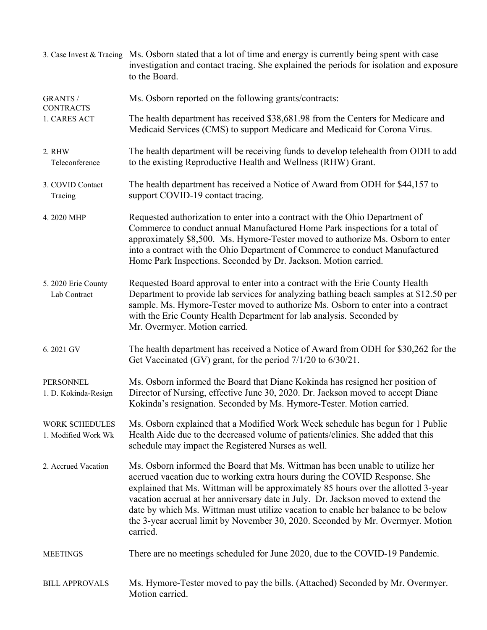|                                                     | 3. Case Invest & Tracing Ms. Osborn stated that a lot of time and energy is currently being spent with case<br>investigation and contact tracing. She explained the periods for isolation and exposure<br>to the Board.                                                                                                                                                                                                                                                                                                    |
|-----------------------------------------------------|----------------------------------------------------------------------------------------------------------------------------------------------------------------------------------------------------------------------------------------------------------------------------------------------------------------------------------------------------------------------------------------------------------------------------------------------------------------------------------------------------------------------------|
| <b>GRANTS /</b><br><b>CONTRACTS</b><br>1. CARES ACT | Ms. Osborn reported on the following grants/contracts:                                                                                                                                                                                                                                                                                                                                                                                                                                                                     |
|                                                     | The health department has received \$38,681.98 from the Centers for Medicare and<br>Medicaid Services (CMS) to support Medicare and Medicaid for Corona Virus.                                                                                                                                                                                                                                                                                                                                                             |
| 2. RHW<br>Teleconference                            | The health department will be receiving funds to develop telehealth from ODH to add<br>to the existing Reproductive Health and Wellness (RHW) Grant.                                                                                                                                                                                                                                                                                                                                                                       |
| 3. COVID Contact<br>Tracing                         | The health department has received a Notice of Award from ODH for \$44,157 to<br>support COVID-19 contact tracing.                                                                                                                                                                                                                                                                                                                                                                                                         |
| 4.2020 MHP                                          | Requested authorization to enter into a contract with the Ohio Department of<br>Commerce to conduct annual Manufactured Home Park inspections for a total of<br>approximately \$8,500. Ms. Hymore-Tester moved to authorize Ms. Osborn to enter<br>into a contract with the Ohio Department of Commerce to conduct Manufactured<br>Home Park Inspections. Seconded by Dr. Jackson. Motion carried.                                                                                                                         |
| 5. 2020 Erie County<br>Lab Contract                 | Requested Board approval to enter into a contract with the Erie County Health<br>Department to provide lab services for analyzing bathing beach samples at \$12.50 per<br>sample. Ms. Hymore-Tester moved to authorize Ms. Osborn to enter into a contract<br>with the Erie County Health Department for lab analysis. Seconded by<br>Mr. Overmyer. Motion carried.                                                                                                                                                        |
| 6.2021 GV                                           | The health department has received a Notice of Award from ODH for \$30,262 for the<br>Get Vaccinated (GV) grant, for the period $7/1/20$ to $6/30/21$ .                                                                                                                                                                                                                                                                                                                                                                    |
| PERSONNEL<br>1. D. Kokinda-Resign                   | Ms. Osborn informed the Board that Diane Kokinda has resigned her position of<br>Director of Nursing, effective June 30, 2020. Dr. Jackson moved to accept Diane<br>Kokinda's resignation. Seconded by Ms. Hymore-Tester. Motion carried.                                                                                                                                                                                                                                                                                  |
| <b>WORK SCHEDULES</b><br>1. Modified Work Wk        | Ms. Osborn explained that a Modified Work Week schedule has begun for 1 Public<br>Health Aide due to the decreased volume of patients/clinics. She added that this<br>schedule may impact the Registered Nurses as well.                                                                                                                                                                                                                                                                                                   |
| 2. Accrued Vacation                                 | Ms. Osborn informed the Board that Ms. Wittman has been unable to utilize her<br>accrued vacation due to working extra hours during the COVID Response. She<br>explained that Ms. Wittman will be approximately 85 hours over the allotted 3-year<br>vacation accrual at her anniversary date in July. Dr. Jackson moved to extend the<br>date by which Ms. Wittman must utilize vacation to enable her balance to be below<br>the 3-year accrual limit by November 30, 2020. Seconded by Mr. Overmyer. Motion<br>carried. |
| <b>MEETINGS</b>                                     | There are no meetings scheduled for June 2020, due to the COVID-19 Pandemic.                                                                                                                                                                                                                                                                                                                                                                                                                                               |
| <b>BILL APPROVALS</b>                               | Ms. Hymore-Tester moved to pay the bills. (Attached) Seconded by Mr. Overmyer.<br>Motion carried.                                                                                                                                                                                                                                                                                                                                                                                                                          |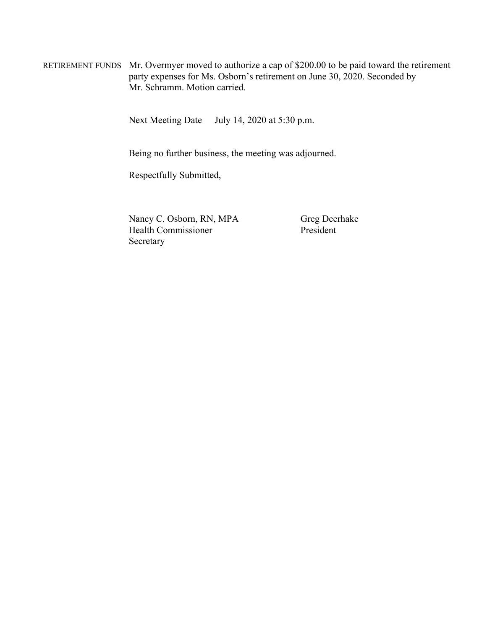RETIREMENT FUNDS Mr. Overmyer moved to authorize a cap of \$200.00 to be paid toward the retirement party expenses for Ms. Osborn's retirement on June 30, 2020. Seconded by Mr. Schramm. Motion carried.

Next Meeting Date July 14, 2020 at 5:30 p.m.

Being no further business, the meeting was adjourned.

Respectfully Submitted,

Nancy C. Osborn, RN, MPA Greg Deerhake Health Commissioner President Secretary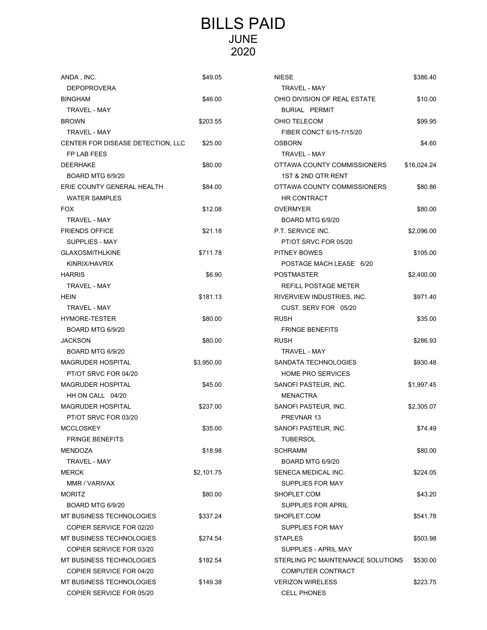## BILLS PAID JUNE 2020

| ANDA, INC.                        | \$49.05    | <b>NIESE</b>                      | \$386.40    |
|-----------------------------------|------------|-----------------------------------|-------------|
| <b>DEPOPROVERA</b>                |            | TRAVEL - MAY                      |             |
| <b>BINGHAM</b>                    | \$46.00    | OHIO DIVISION OF REAL ESTATE      | \$10.00     |
| <b>TRAVEL - MAY</b>               |            | <b>BURIAL PERMIT</b>              |             |
| <b>BROWN</b>                      | \$203.55   | OHIO TELECOM                      | \$99.95     |
| TRAVEL - MAY                      |            | FIBER CONCT 6/15-7/15/20          |             |
| CENTER FOR DISEASE DETECTION, LLC | \$25.00    | <b>OSBORN</b>                     | \$4.60      |
| FP LAB FEES                       |            | <b>TRAVEL - MAY</b>               |             |
| <b>DEERHAKE</b>                   | \$80.00    | OTTAWA COUNTY COMMISSIONERS       | \$16,024.24 |
| <b>BOARD MTG 6/9/20</b>           |            | 1ST & 2ND QTR RENT                |             |
| ERIE COUNTY GENERAL HEALTH        | \$84.00    | OTTAWA COUNTY COMMISSIONERS       | \$80.86     |
| <b>WATER SAMPLES</b>              |            | <b>HR CONTRACT</b>                |             |
| <b>FOX</b>                        | \$12.08    | <b>OVERMYER</b>                   | \$80.00     |
| <b>TRAVEL - MAY</b>               |            | BOARD MTG 6/9/20                  |             |
| <b>FRIENDS OFFICE</b>             | \$21.18    | P.T. SERVICE INC.                 | \$2,096.00  |
| SUPPLIES - MAY                    |            | PT/OT SRVC FOR 05/20              |             |
| <b>GLAXOSMITHLKINE</b>            | \$711.78   | PITNEY BOWES                      | \$105.00    |
| KINRIX/HAVRIX                     |            | POSTAGE MACH LEASE 6/20           |             |
| <b>HARRIS</b>                     | \$6.90     | <b>POSTMASTER</b>                 | \$2,400.00  |
| TRAVEL - MAY                      |            | REFILL POSTAGE METER              |             |
| <b>HEIN</b>                       | \$181.13   | RIVERVIEW INDUSTRIES, INC.        | \$971.40    |
| <b>TRAVEL - MAY</b>               |            | CUST. SERV FOR 05/20              |             |
| HYMORE-TESTER                     | \$80.00    | <b>RUSH</b>                       | \$35.00     |
| <b>BOARD MTG 6/9/20</b>           |            | <b>FRINGE BENEFITS</b>            |             |
| <b>JACKSON</b>                    | \$80.00    | <b>RUSH</b>                       | \$286.93    |
| <b>BOARD MTG 6/9/20</b>           |            | TRAVEL - MAY                      |             |
| <b>MAGRUDER HOSPITAL</b>          | \$3,950.00 | SANDATA TECHNOLOGIES              | \$930.48    |
| PT/OT SRVC FOR 04/20              |            | <b>HOME PRO SERVICES</b>          |             |
| <b>MAGRUDER HOSPITAL</b>          | \$45.00    | SANOFI PASTEUR, INC.              | \$1,997.45  |
| HH ON CALL 04/20                  |            | <b>MENACTRA</b>                   |             |
| <b>MAGRUDER HOSPITAL</b>          | \$237.00   | SANOFI PASTEUR, INC.              | \$2,305.07  |
| PT/OT SRVC FOR 03/20              |            | PREVNAR 13                        |             |
| <b>MCCLOSKEY</b>                  | \$35.00    | SANOFI PASTEUR, INC.              | \$74.49     |
| <b>FRINGE BENEFITS</b>            |            | TUBERSOL                          |             |
| <b>MENDOZA</b>                    | \$18.98    | <b>SCHRAMM</b>                    | \$80.00     |
| <b>TRAVEL - MAY</b>               |            | <b>BOARD MTG 6/9/20</b>           |             |
| <b>MERCK</b>                      | \$2,101.75 | SENECA MEDICAL INC.               | \$224.05    |
| MMR / VARIVAX                     |            | SUPPLIES FOR MAY                  |             |
| <b>MORITZ</b>                     | \$80.00    | SHOPLET.COM                       | \$43.20     |
| <b>BOARD MTG 6/9/20</b>           |            | <b>SUPPLIES FOR APRIL</b>         |             |
| MT BUSINESS TECHNOLOGIES          | \$337.24   | SHOPLET.COM                       | \$541.78    |
| COPIER SERVICE FOR 02/20          |            | SUPPLIES FOR MAY                  |             |
| MT BUSINESS TECHNOLOGIES          | \$274.54   | <b>STAPLES</b>                    | \$503.98    |
| COPIER SERVICE FOR 03/20          |            | SUPPLIES - APRIL MAY              |             |
| MT BUSINESS TECHNOLOGIES          | \$182.54   | STERLING PC MAINTENANCE SOLUTIONS | \$530.00    |
| COPIER SERVICE FOR 04/20          |            | COMPUTER CONTRACT                 |             |
| <b>MT BUSINESS TECHNOLOGIES</b>   | \$149.38   | <b>VERIZON WIRELESS</b>           | \$223.75    |
| COPIER SERVICE FOR 05/20          |            | <b>CELL PHONES</b>                |             |